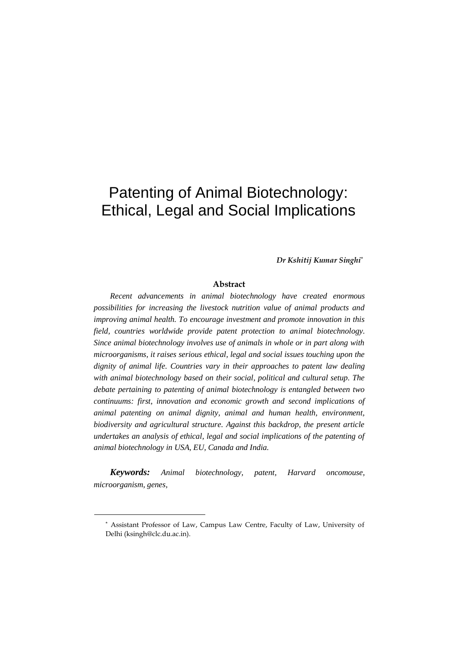# Patenting of Animal Biotechnology: Ethical, Legal and Social Implications

*Dr Kshitij Kumar Singhi\**

#### **Abstract**

*Recent advancements in animal biotechnology have created enormous possibilities for increasing the livestock nutrition value of animal products and improving animal health. To encourage investment and promote innovation in this field, countries worldwide provide patent protection to animal biotechnology. Since animal biotechnology involves use of animals in whole or in part along with microorganisms, it raises serious ethical, legal and social issues touching upon the dignity of animal life. Countries vary in their approaches to patent law dealing with animal biotechnology based on their social, political and cultural setup. The debate pertaining to patenting of animal biotechnology is entangled between two continuums: first, innovation and economic growth and second implications of animal patenting on animal dignity, animal and human health, environment, biodiversity and agricultural structure. Against this backdrop, the present article undertakes an analysis of ethical, legal and social implications of the patenting of animal biotechnology in USA, EU, Canada and India.* 

*Keywords: Animal biotechnology, patent, Harvard oncomouse, microorganism, genes,* 

<sup>\*</sup> Assistant Professor of Law, Campus Law Centre, Faculty of Law, University of Delhi (ksingh@clc.du.ac.in).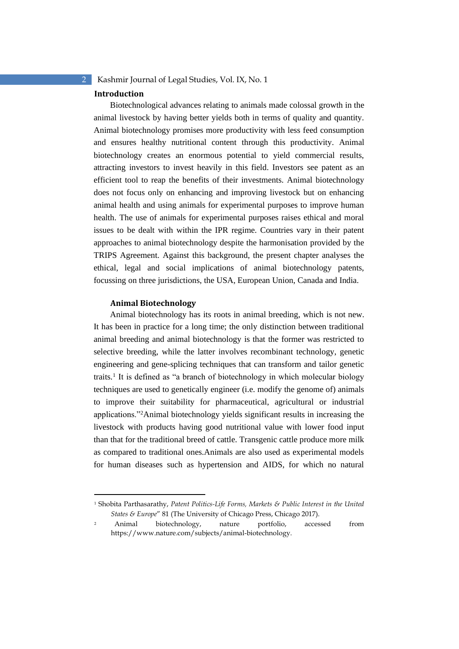#### **Introduction**

Biotechnological advances relating to animals made colossal growth in the animal livestock by having better yields both in terms of quality and quantity. Animal biotechnology promises more productivity with less feed consumption and ensures healthy nutritional content through this productivity. Animal biotechnology creates an enormous potential to yield commercial results, attracting investors to invest heavily in this field. Investors see patent as an efficient tool to reap the benefits of their investments. Animal biotechnology does not focus only on enhancing and improving livestock but on enhancing animal health and using animals for experimental purposes to improve human health. The use of animals for experimental purposes raises ethical and moral issues to be dealt with within the IPR regime. Countries vary in their patent approaches to animal biotechnology despite the harmonisation provided by the TRIPS Agreement. Against this background, the present chapter analyses the ethical, legal and social implications of animal biotechnology patents, focussing on three jurisdictions, the USA, European Union, Canada and India.

#### **Animal Biotechnology**

Animal biotechnology has its roots in animal breeding, which is not new. It has been in practice for a long time; the only distinction between traditional animal breeding and animal biotechnology is that the former was restricted to selective breeding, while the latter involves recombinant technology, genetic engineering and gene-splicing techniques that can transform and tailor genetic traits.<sup>1</sup> It is defined as "a branch of biotechnology in which molecular biology techniques are used to genetically engineer (i.e. modify the genome of) animals to improve their suitability for pharmaceutical, agricultural or industrial applications."<sup>2</sup>Animal biotechnology yields significant results in increasing the livestock with products having good nutritional value with lower food input than that for the traditional breed of cattle. Transgenic cattle produce more milk as compared to traditional ones.Animals are also used as experimental models for human diseases such as hypertension and AIDS, for which no natural

<sup>1</sup> Shobita Parthasarathy, *Patent Politics-Life Forms, Markets & Public Interest in the United States & Europe*" 81 (The University of Chicago Press, Chicago 2017).

<sup>2</sup> Animal biotechnology, nature portfolio, accessed from https://www.nature.com/subjects/animal-biotechnology.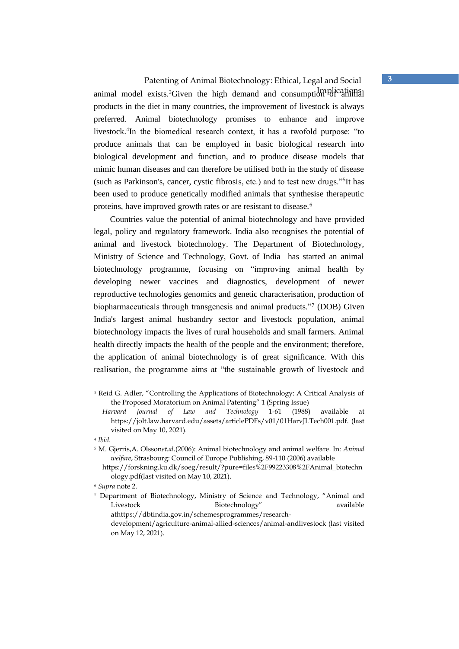Patenting of Animal Biotechnology: Ethical, Legal and Social **3** animal model exists.<sup>3</sup>Given the high demand and consumption of animal products in the diet in many countries, the improvement of livestock is always preferred. Animal biotechnology promises to enhance and improve livestock.<sup>4</sup> In the biomedical research context, it has a twofold purpose: "to produce animals that can be employed in basic biological research into biological development and function, and to produce disease models that mimic human diseases and can therefore be utilised both in the study of disease (such as Parkinson's, cancer, cystic fibrosis, etc.) and to test new drugs."<sup>5</sup> It has been used to produce genetically modified animals that synthesise therapeutic proteins, have improved growth rates or are resistant to disease.<sup>6</sup>

Countries value the potential of animal biotechnology and have provided legal, policy and regulatory framework. India also recognises the potential of animal and livestock biotechnology. The Department of Biotechnology, Ministry of Science and Technology, Govt. of India has started an animal biotechnology programme, focusing on "improving animal health by developing newer vaccines and diagnostics, development of newer reproductive technologies genomics and genetic characterisation, production of biopharmaceuticals through transgenesis and animal products."<sup>7</sup> (DOB) Given India's largest animal husbandry sector and livestock population, animal biotechnology impacts the lives of rural households and small farmers. Animal health directly impacts the health of the people and the environment; therefore, the application of animal biotechnology is of great significance. With this realisation, the programme aims at "the sustainable growth of livestock and

<sup>&</sup>lt;sup>3</sup> Reid G. Adler, "Controlling the Applications of Biotechnology: A Critical Analysis of the Proposed Moratorium on Animal Patenting" 1 (Spring Issue)

*Harvard Journal of Law and Technology* 1-61 (1988) available at https://jolt.law.harvard.edu/assets/articlePDFs/v01/01HarvJLTech001.pdf. (last visited on May 10, 2021).

<sup>4</sup> *Ibid.* 

<sup>5</sup> M. Gjerris,A. Olsson*et.al.*(2006): Animal biotechnology and animal welfare. In: *Animal welfare*, Strasbourg: Council of Europe Publishing, 89-110 (2006) available

https://forskning.ku.dk/soeg/result/?pure=files%2F99223308%2FAnimal\_biotechn ology.pdf(last visited on May 10, 2021).

<sup>6</sup> *Supra* note 2.

<sup>7</sup> Department of Biotechnology, Ministry of Science and Technology, "Animal and Livestock Biotechnology" available athttps://dbtindia.gov.in/schemesprogrammes/researchdevelopment/agriculture-animal-allied-sciences/animal-andlivestock (last visited on May 12, 2021).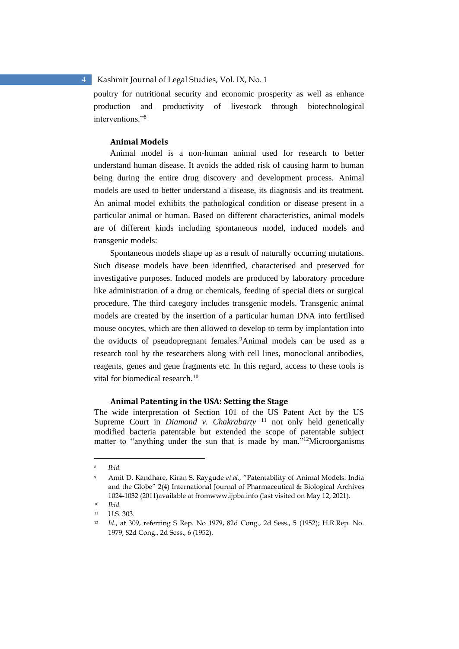poultry for nutritional security and economic prosperity as well as enhance production and productivity of livestock through biotechnological interventions."<sup>8</sup>

#### **Animal Models**

Animal model is a non-human animal used for research to better understand human disease. It avoids the added risk of causing harm to human being during the entire drug discovery and development process. Animal models are used to better understand a disease, its diagnosis and its treatment. An animal model exhibits the pathological condition or disease present in a particular animal or human. Based on different characteristics, animal models are of different kinds including spontaneous model, induced models and transgenic models:

Spontaneous models shape up as a result of naturally occurring mutations. Such disease models have been identified, characterised and preserved for investigative purposes. Induced models are produced by laboratory procedure like administration of a drug or chemicals, feeding of special diets or surgical procedure. The third category includes transgenic models. Transgenic animal models are created by the insertion of a particular human DNA into fertilised mouse oocytes, which are then allowed to develop to term by implantation into the oviducts of pseudopregnant females.<sup>9</sup>Animal models can be used as a research tool by the researchers along with cell lines, monoclonal antibodies, reagents, genes and gene fragments etc. In this regard, access to these tools is vital for biomedical research.<sup>10</sup>

#### **Animal Patenting in the USA: Setting the Stage**

The wide interpretation of Section 101 of the US Patent Act by the US Supreme Court in *Diamond v. Chakrabarty* <sup>11</sup> not only held genetically modified bacteria patentable but extended the scope of patentable subject matter to "anything under the sun that is made by man."<sup>12</sup>Microorganisms

Ibid.

<sup>9</sup> Amit D. Kandhare, Kiran S. Raygude *et.al.,* "Patentability of Animal Models: India and the Globe" 2(4) International Journal of Pharmaceutical & Biological Archives 1024-1032 (2011)available at fromwww.ijpba.info (last visited on May 12, 2021).

<sup>10</sup> *Ibid.* 

<sup>11</sup> U.S. 303.

<sup>12</sup> *Id*., at 309, referring S Rep. No 1979, 82d Cong., 2d Sess., 5 (1952); H.R.Rep. No. 1979, 82d Cong., 2d Sess., 6 (1952).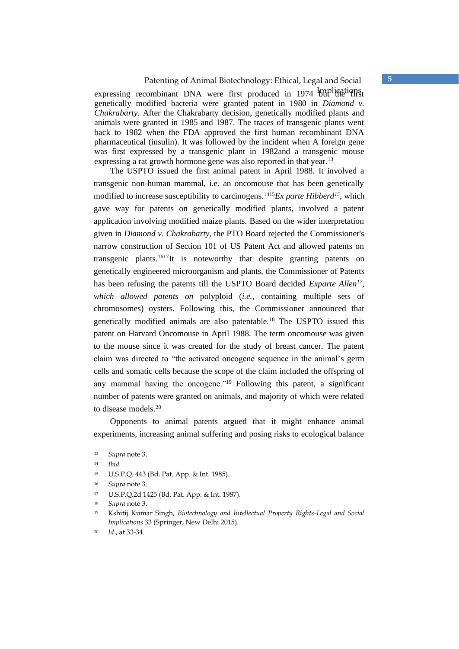### Patenting of Animal Biotechnology: Ethical, Legal and Social **5**

expressing recombinant DNA were first produced in 1974 mplications genetically modified bacteria were granted patent in 1980 in *Diamond v. Chakrabarty*. After the Chakrabarty decision, genetically modified plants and animals were granted in 1985 and 1987. The traces of transgenic plants went back to 1982 when the FDA approved the first human recombinant DNA pharmaceutical (insulin). It was followed by the incident when A foreign gene was first expressed by a transgenic plant in 1982and a transgenic mouse expressing a rat growth hormone gene was also reported in that year.<sup>13</sup>

The USPTO issued the first animal patent in April 1988. It involved a transgenic non-human mammal, i.e. an oncomouse that has been genetically modified to increase susceptibility to carcinogens.<sup>1415</sup> $Ex$  parte Hibberd<sup>15</sup>, which gave way for patents on genetically modified plants, involved a patent application involving modified maize plants. Based on the wider interpretation given in *Diamond v. Chakrabarty*, the PTO Board rejected the Commissioner's narrow construction of Section 101 of US Patent Act and allowed patents on transgenic plants.<sup>1617</sup>It is noteworthy that despite granting patents on genetically engineered microorganism and plants, the Commissioner of Patents has been refusing the patents till the USPTO Board decided *Exparte Allen<sup>17</sup> , which allowed patents on* polyploid (*i.e.,* containing multiple sets of chromosomes) oysters. Following this, the Commissioner announced that genetically modified animals are also patentable.<sup>18</sup> The USPTO issued this patent on Harvard Oncomouse in April 1988. The term oncomouse was given to the mouse since it was created for the study of breast cancer. The patent claim was directed to "the activated oncogene sequence in the animal's germ cells and somatic cells because the scope of the claim included the offspring of any mammal having the oncogene."<sup>19</sup> Following this patent, a significant number of patents were granted on animals, and majority of which were related to disease models.<sup>20</sup>

Opponents to animal patents argued that it might enhance animal experiments, increasing animal suffering and posing risks to ecological balance

<sup>13</sup> *Supra* note 3.

<sup>14</sup> *Ibid.* 

<sup>15</sup> U.S.P.Q. 443 (Bd. Pat. App. & Int. 1985).

<sup>16</sup> *Supra* note 3.

<sup>17</sup> U.S.P.Q.2d 1425 (Bd. Pat. App. & Int. 1987).

<sup>18</sup> *Supra* note 3.

<sup>19</sup> Kshitij Kumar Singh, *Biotechnology and Intellectual Property Rights-Legal and Social Implications* 33 (Springer, New Delhi 2015).

<sup>20</sup> *Id.*, at 33-34.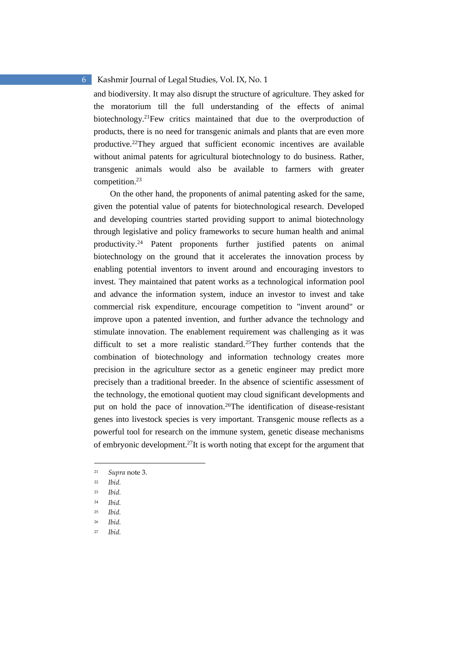and biodiversity. It may also disrupt the structure of agriculture. They asked for the moratorium till the full understanding of the effects of animal biotechnology.<sup>21</sup>Few critics maintained that due to the overproduction of products, there is no need for transgenic animals and plants that are even more productive.<sup>22</sup>They argued that sufficient economic incentives are available without animal patents for agricultural biotechnology to do business. Rather, transgenic animals would also be available to farmers with greater competition.<sup>23</sup>

On the other hand, the proponents of animal patenting asked for the same, given the potential value of patents for biotechnological research. Developed and developing countries started providing support to animal biotechnology through legislative and policy frameworks to secure human health and animal productivity.<sup>24</sup> Patent proponents further justified patents on animal biotechnology on the ground that it accelerates the innovation process by enabling potential inventors to invent around and encouraging investors to invest. They maintained that patent works as a technological information pool and advance the information system, induce an investor to invest and take commercial risk expenditure, encourage competition to "invent around" or improve upon a patented invention, and further advance the technology and stimulate innovation. The enablement requirement was challenging as it was difficult to set a more realistic standard.<sup>25</sup>They further contends that the combination of biotechnology and information technology creates more precision in the agriculture sector as a genetic engineer may predict more precisely than a traditional breeder. In the absence of scientific assessment of the technology, the emotional quotient may cloud significant developments and put on hold the pace of innovation.<sup>26</sup>The identification of disease-resistant genes into livestock species is very important. Transgenic mouse reflects as a powerful tool for research on the immune system, genetic disease mechanisms of embryonic development.<sup>27</sup>It is worth noting that except for the argument that

<sup>21</sup> *Supra* note 3.

<sup>22</sup> *Ibid.* 

<sup>23</sup> *Ibid.* 

<sup>24</sup> *Ibid.* 

<sup>25</sup> *Ibid.* 

<sup>26</sup> *Ibid.* 

<sup>27</sup> *Ibid.*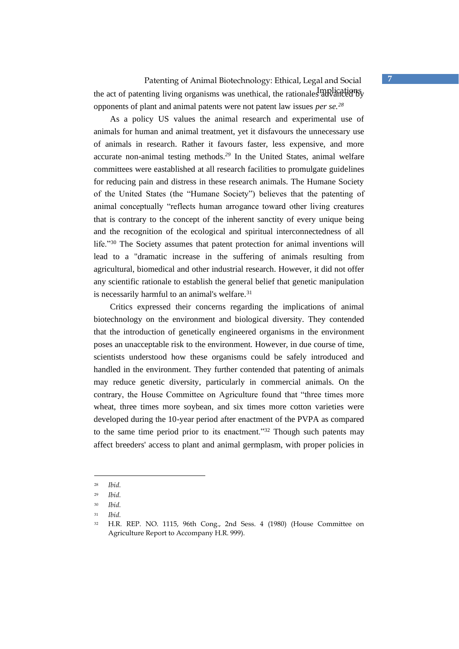## Patenting of Animal Biotechnology: Ethical, Legal and Social **7** the act of patenting living organisms was unethical, the rationales advanced by opponents of plant and animal patents were not patent law issues *per se.<sup>28</sup>*

As a policy US values the animal research and experimental use of animals for human and animal treatment, yet it disfavours the unnecessary use of animals in research. Rather it favours faster, less expensive, and more accurate non-animal testing methods.*<sup>29</sup>* In the United States, animal welfare committees were eastablished at all research facilities to promulgate guidelines for reducing pain and distress in these research animals. The Humane Society of the United States (the "Humane Society") believes that the patenting of animal conceptually "reflects human arrogance toward other living creatures that is contrary to the concept of the inherent sanctity of every unique being and the recognition of the ecological and spiritual interconnectedness of all life."<sup>30</sup> The Society assumes that patent protection for animal inventions will lead to a "dramatic increase in the suffering of animals resulting from agricultural, biomedical and other industrial research. However, it did not offer any scientific rationale to establish the general belief that genetic manipulation is necessarily harmful to an animal's welfare. $31$ 

Critics expressed their concerns regarding the implications of animal biotechnology on the environment and biological diversity. They contended that the introduction of genetically engineered organisms in the environment poses an unacceptable risk to the environment. However, in due course of time, scientists understood how these organisms could be safely introduced and handled in the environment. They further contended that patenting of animals may reduce genetic diversity, particularly in commercial animals. On the contrary, the House Committee on Agriculture found that "three times more wheat, three times more soybean, and six times more cotton varieties were developed during the 10-year period after enactment of the PVPA as compared to the same time period prior to its enactment."<sup>32</sup> Though such patents may affect breeders' access to plant and animal germplasm, with proper policies in

<sup>28</sup> *Ibid.*

<sup>29</sup> *Ibid.*

<sup>30</sup> *Ibid.* 

<sup>31</sup> *Ibid.* 

<sup>32</sup> H.R. REP. NO. 1115, 96th Cong., 2nd Sess. 4 (1980) (House Committee on Agriculture Report to Accompany H.R. 999).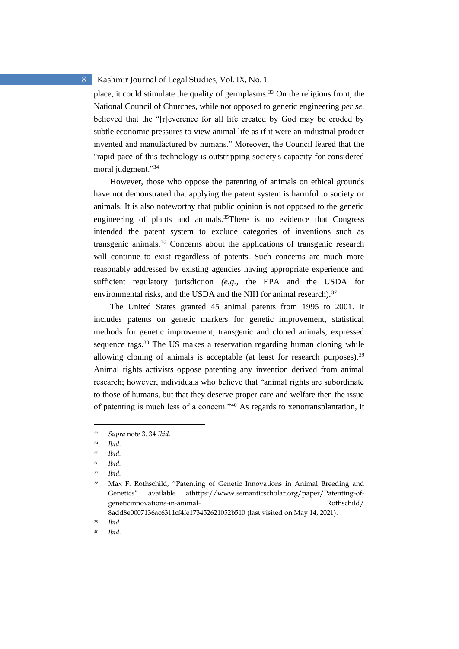place, it could stimulate the quality of germplasms.<sup>33</sup> On the religious front, the National Council of Churches, while not opposed to genetic engineering *per se,*  believed that the "[r]everence for all life created by God may be eroded by subtle economic pressures to view animal life as if it were an industrial product invented and manufactured by humans." Moreover, the Council feared that the "rapid pace of this technology is outstripping society's capacity for considered moral judgment."<sup>34</sup>

However, those who oppose the patenting of animals on ethical grounds have not demonstrated that applying the patent system is harmful to society or animals. It is also noteworthy that public opinion is not opposed to the genetic engineering of plants and animals.<sup>35</sup>There is no evidence that Congress intended the patent system to exclude categories of inventions such as transgenic animals.<sup>36</sup> Concerns about the applications of transgenic research will continue to exist regardless of patents. Such concerns are much more reasonably addressed by existing agencies having appropriate experience and sufficient regulatory jurisdiction *(e.g.,* the EPA and the USDA for environmental risks, and the USDA and the NIH for animal research).<sup>37</sup>

The United States granted 45 animal patents from 1995 to 2001. It includes patents on genetic markers for genetic improvement, statistical methods for genetic improvement, transgenic and cloned animals, expressed sequence tags.<sup>38</sup> The US makes a reservation regarding human cloning while allowing cloning of animals is acceptable (at least for research purposes).<sup>39</sup> Animal rights activists oppose patenting any invention derived from animal research; however, individuals who believe that "animal rights are subordinate to those of humans, but that they deserve proper care and welfare then the issue of patenting is much less of a concern."<sup>40</sup> As regards to xenotransplantation, it

<sup>33</sup> *Supra* note 3. 34 *Ibid.* 

<sup>34</sup> *Ibid.* 

<sup>35</sup> *Ibid.* 

<sup>36</sup> *Ibid.* 

<sup>37</sup> *Ibid.* 

<sup>38</sup> Max F. Rothschild, "Patenting of Genetic Innovations in Animal Breeding and Genetics" available athttps://www.semanticscholar.org/paper/Patenting-ofgeneticinnovations-in-animal- Rothschild/ 8add8e0007136ac6311cf4fe173452621052b510 (last visited on May 14, 2021).

<sup>39</sup> *Ibid.* 

<sup>40</sup> *Ibid.*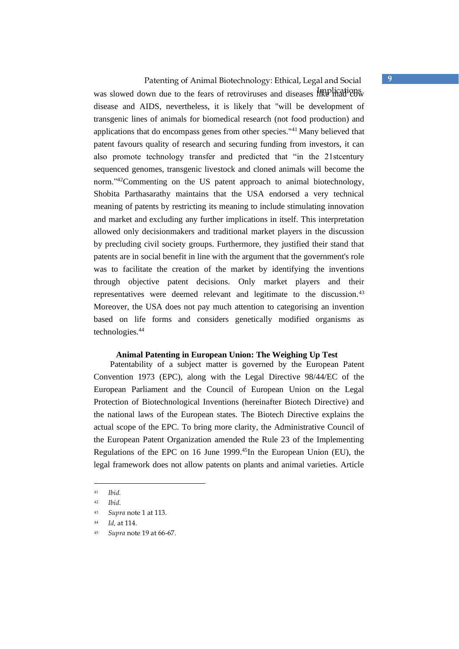Patenting of Animal Biotechnology: Ethical, Legal and Social **9** was slowed down due to the fears of retroviruses and diseases like madications. disease and AIDS, nevertheless, it is likely that "will be development of transgenic lines of animals for biomedical research (not food production) and applications that do encompass genes from other species."<sup>41</sup> Many believed that patent favours quality of research and securing funding from investors, it can also promote technology transfer and predicted that "in the 21stcentury sequenced genomes, transgenic livestock and cloned animals will become the norm."<sup>42</sup>Commenting on the US patent approach to animal biotechnology, Shobita Parthasarathy maintains that the USA endorsed a very technical meaning of patents by restricting its meaning to include stimulating innovation and market and excluding any further implications in itself. This interpretation allowed only decisionmakers and traditional market players in the discussion by precluding civil society groups. Furthermore, they justified their stand that patents are in social benefit in line with the argument that the government's role was to facilitate the creation of the market by identifying the inventions through objective patent decisions. Only market players and their representatives were deemed relevant and legitimate to the discussion.<sup>43</sup> Moreover, the USA does not pay much attention to categorising an invention based on life forms and considers genetically modified organisms as technologies.<sup>44</sup>

#### **Animal Patenting in European Union: The Weighing Up Test**

Patentability of a subject matter is governed by the European Patent Convention 1973 (EPC), along with the Legal Directive 98/44/EC of the European Parliament and the Council of European Union on the Legal Protection of Biotechnological Inventions (hereinafter Biotech Directive) and the national laws of the European states. The Biotech Directive explains the actual scope of the EPC. To bring more clarity, the Administrative Council of the European Patent Organization amended the Rule 23 of the Implementing Regulations of the EPC on 16 June 1999.<sup>45</sup>In the European Union (EU), the legal framework does not allow patents on plants and animal varieties. Article

<sup>41</sup> *Ibid.* 

<sup>42</sup> *Ibid.* 

<sup>43</sup> *Supra* note 1 at 113.

<sup>44</sup> *Id,* at 114.

<sup>45</sup> *Supra* note 19 at 66-67.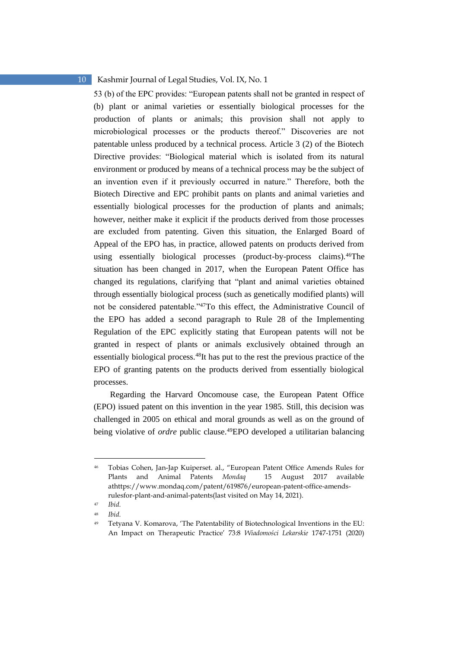53 (b) of the EPC provides: "European patents shall not be granted in respect of (b) plant or animal varieties or essentially biological processes for the production of plants or animals; this provision shall not apply to microbiological processes or the products thereof." Discoveries are not patentable unless produced by a technical process. Article 3 (2) of the Biotech Directive provides: "Biological material which is isolated from its natural environment or produced by means of a technical process may be the subject of an invention even if it previously occurred in nature." Therefore, both the Biotech Directive and EPC prohibit pants on plants and animal varieties and essentially biological processes for the production of plants and animals; however, neither make it explicit if the products derived from those processes are excluded from patenting. Given this situation, the Enlarged Board of Appeal of the EPO has, in practice, allowed patents on products derived from using essentially biological processes (product-by-process claims).<sup>46</sup>The situation has been changed in 2017, when the European Patent Office has changed its regulations, clarifying that "plant and animal varieties obtained through essentially biological process (such as genetically modified plants) will not be considered patentable."<sup>47</sup>To this effect, the Administrative Council of the EPO has added a second paragraph to Rule 28 of the Implementing Regulation of the EPC explicitly stating that European patents will not be granted in respect of plants or animals exclusively obtained through an essentially biological process.<sup>48</sup>It has put to the rest the previous practice of the EPO of granting patents on the products derived from essentially biological processes.

Regarding the Harvard Oncomouse case, the European Patent Office (EPO) issued patent on this invention in the year 1985. Still, this decision was challenged in 2005 on ethical and moral grounds as well as on the ground of being violative of *ordre* public clause.<sup>49</sup>EPO developed a utilitarian balancing

<sup>46</sup> Tobias Cohen, Jan-Jap Kuiperset. al., "European Patent Office Amends Rules for Plants and Animal Patents *Mondaq* 15 August 2017 available athttps://www.mondaq.com/patent/619876/european-patent-office-amendsrulesfor-plant-and-animal-patents(last visited on May 14, 2021).

<sup>47</sup> *Ibid.* 

<sup>48</sup> *Ibid.* 

<sup>49</sup> Tetyana V. Komarova, 'The Patentability of Biotechnological Inventions in the EU: An Impact on Therapeutic Practice' 73:8 *Wiadomości Lekarskie* 1747-1751 (2020)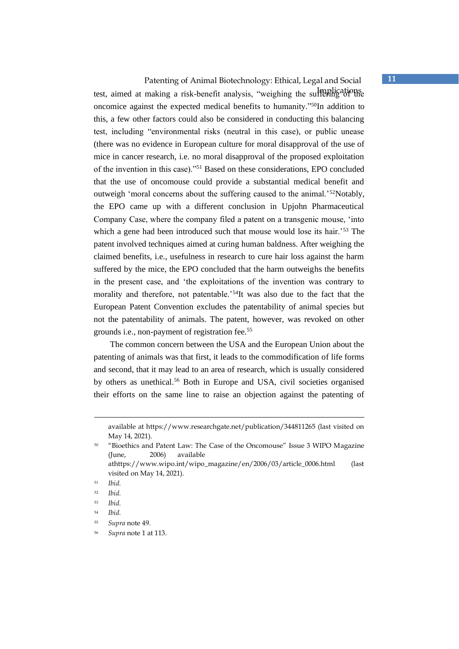Patenting of Animal Biotechnology: Ethical, Legal and Social **11** test, aimed at making a risk-benefit analysis, "weighing the suffering of the oncomice against the expected medical benefits to humanity."<sup>50</sup>In addition to this, a few other factors could also be considered in conducting this balancing test, including "environmental risks (neutral in this case), or public unease (there was no evidence in European culture for moral disapproval of the use of mice in cancer research, i.e. no moral disapproval of the proposed exploitation of the invention in this case)."<sup>51</sup> Based on these considerations, EPO concluded that the use of oncomouse could provide a substantial medical benefit and outweigh 'moral concerns about the suffering caused to the animal.'<sup>52</sup>Notably, the EPO came up with a different conclusion in Upjohn Pharmaceutical Company Case, where the company filed a patent on a transgenic mouse, 'into which a gene had been introduced such that mouse would lose its hair.<sup>53</sup> The patent involved techniques aimed at curing human baldness. After weighing the claimed benefits, i.e., usefulness in research to cure hair loss against the harm suffered by the mice, the EPO concluded that the harm outweighs the benefits in the present case, and 'the exploitations of the invention was contrary to morality and therefore, not patentable.'<sup>54</sup>It was also due to the fact that the European Patent Convention excludes the patentability of animal species but not the patentability of animals. The patent, however, was revoked on other grounds i.e., non-payment of registration fee.<sup>55</sup>

The common concern between the USA and the European Union about the patenting of animals was that first, it leads to the commodification of life forms and second, that it may lead to an area of research, which is usually considered by others as unethical.<sup>56</sup> Both in Europe and USA, civil societies organised their efforts on the same line to raise an objection against the patenting of

available at https://www.researchgate.net/publication/344811265 (last visited on May 14, 2021).

<sup>50</sup> "Bioethics and Patent Law: The Case of the Oncomouse" Issue 3 WIPO Magazine (June, 2006) available athttps://www.wipo.int/wipo\_magazine/en/2006/03/article\_0006.html (last visited on May 14, 2021).

<sup>51</sup> *Ibid.* 

<sup>52</sup> *Ibid.* 

<sup>53</sup> *Ibid.* 

<sup>54</sup> *Ibid.* 

<sup>55</sup> *Supra* note 49.

<sup>56</sup> *Supra* note 1 at 113.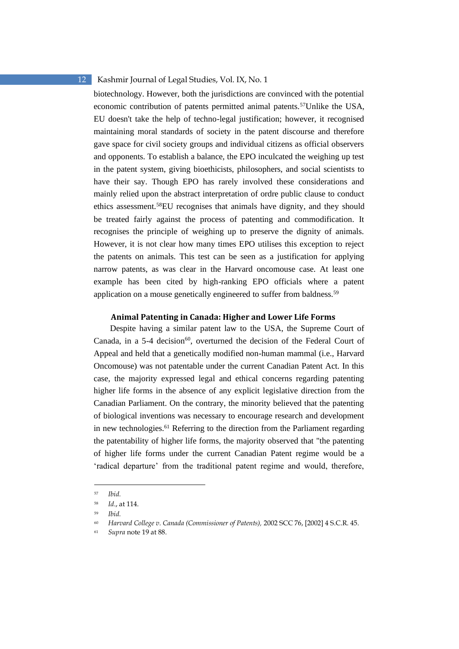biotechnology. However, both the jurisdictions are convinced with the potential economic contribution of patents permitted animal patents.<sup>57</sup>Unlike the USA, EU doesn't take the help of techno-legal justification; however, it recognised maintaining moral standards of society in the patent discourse and therefore gave space for civil society groups and individual citizens as official observers and opponents. To establish a balance, the EPO inculcated the weighing up test in the patent system, giving bioethicists, philosophers, and social scientists to have their say. Though EPO has rarely involved these considerations and mainly relied upon the abstract interpretation of ordre public clause to conduct ethics assessment.<sup>58</sup>EU recognises that animals have dignity, and they should be treated fairly against the process of patenting and commodification. It recognises the principle of weighing up to preserve the dignity of animals. However, it is not clear how many times EPO utilises this exception to reject the patents on animals. This test can be seen as a justification for applying narrow patents, as was clear in the Harvard oncomouse case. At least one example has been cited by high-ranking EPO officials where a patent application on a mouse genetically engineered to suffer from baldness.<sup>59</sup>

#### **Animal Patenting in Canada: Higher and Lower Life Forms**

Despite having a similar patent law to the USA, the Supreme Court of Canada, in a  $5-4$  decision<sup>60</sup>, overturned the decision of the Federal Court of Appeal and held that a genetically modified non-human mammal (i.e., Harvard Oncomouse) was not patentable under the current Canadian Patent Act. In this case, the majority expressed legal and ethical concerns regarding patenting higher life forms in the absence of any explicit legislative direction from the Canadian Parliament. On the contrary, the minority believed that the patenting of biological inventions was necessary to encourage research and development in new technologies.<sup>61</sup> Referring to the direction from the Parliament regarding the patentability of higher life forms, the majority observed that "the patenting of higher life forms under the current Canadian Patent regime would be a 'radical departure' from the traditional patent regime and would, therefore,

<sup>57</sup> *Ibid.* 

<sup>58</sup> *Id*., at 114.

<sup>59</sup> *Ibid.* 

<sup>60</sup> *Harvard College v. Canada (Commissioner of Patents),* 2002 SCC 76, [2002] 4 S.C.R. 45.

<sup>61</sup> *Supra* note 19 at 88.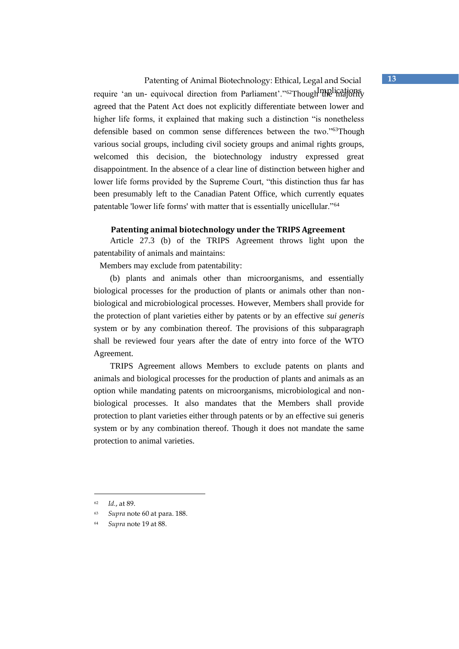Patenting of Animal Biotechnology: Ethical, Legal and Social **13** require 'an un- equivocal direction from Parliament'."<sup>62</sup>Though majority agreed that the Patent Act does not explicitly differentiate between lower and higher life forms, it explained that making such a distinction "is nonetheless defensible based on common sense differences between the two."<sup>63</sup>Though various social groups, including civil society groups and animal rights groups, welcomed this decision, the biotechnology industry expressed great disappointment. In the absence of a clear line of distinction between higher and lower life forms provided by the Supreme Court, "this distinction thus far has been presumably left to the Canadian Patent Office, which currently equates patentable 'lower life forms' with matter that is essentially unicellular."<sup>64</sup>

#### **Patenting animal biotechnology under the TRIPS Agreement**

Article 27.3 (b) of the TRIPS Agreement throws light upon the patentability of animals and maintains:

Members may exclude from patentability:

(b) plants and animals other than microorganisms, and essentially biological processes for the production of plants or animals other than nonbiological and microbiological processes. However, Members shall provide for the protection of plant varieties either by patents or by an effective *sui generis* system or by any combination thereof. The provisions of this subparagraph shall be reviewed four years after the date of entry into force of the WTO Agreement.

TRIPS Agreement allows Members to exclude patents on plants and animals and biological processes for the production of plants and animals as an option while mandating patents on microorganisms, microbiological and nonbiological processes. It also mandates that the Members shall provide protection to plant varieties either through patents or by an effective sui generis system or by any combination thereof. Though it does not mandate the same protection to animal varieties.

<sup>62</sup> *Id.*, at 89.

<sup>63</sup> *Supra* note 60 at para. 188.

<sup>64</sup> *Supra* note 19 at 88.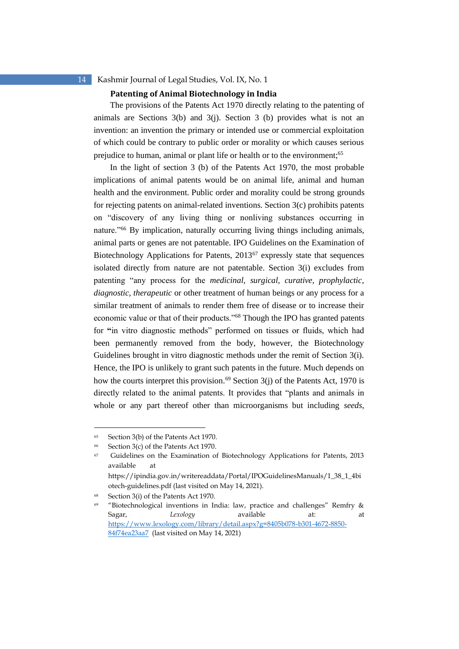#### **Patenting of Animal Biotechnology in India**

The provisions of the Patents Act 1970 directly relating to the patenting of animals are Sections  $3(b)$  and  $3(i)$ . Section 3 (b) provides what is not an invention: an invention the primary or intended use or commercial exploitation of which could be contrary to public order or morality or which causes serious prejudice to human, animal or plant life or health or to the environment;<sup>65</sup>

In the light of section 3 (b) of the Patents Act 1970, the most probable implications of animal patents would be on animal life, animal and human health and the environment. Public order and morality could be strong grounds for rejecting patents on animal-related inventions. Section 3(c) prohibits patents on "discovery of any living thing or nonliving substances occurring in nature."<sup>66</sup> By implication, naturally occurring living things including animals, animal parts or genes are not patentable. IPO Guidelines on the Examination of Biotechnology Applications for Patents, 2013<sup>67</sup> expressly state that sequences isolated directly from nature are not patentable. Section 3(i) excludes from patenting "any process for the *medicinal, surgical, curative, prophylactic, diagnostic, therapeutic* or other treatment of human beings or any process for a similar treatment of animals to render them free of disease or to increase their economic value or that of their products."<sup>68</sup> Though the IPO has granted patents for **"**in vitro diagnostic methods" performed on tissues or fluids, which had been permanently removed from the body, however, the Biotechnology Guidelines brought in vitro diagnostic methods under the remit of Section 3(i). Hence, the IPO is unlikely to grant such patents in the future. Much depends on how the courts interpret this provision.<sup>69</sup> Section  $3(i)$  of the Patents Act, 1970 is directly related to the animal patents. It provides that "plants and animals in whole or any part thereof other than microorganisms but including *seeds*,

<sup>65</sup> Section 3(b) of the Patents Act 1970.

<sup>66</sup> Section 3(c) of the Patents Act 1970.

<sup>67</sup> Guidelines on the Examination of Biotechnology Applications for Patents, 2013 available at https://ipindia.gov.in/writereaddata/Portal/IPOGuidelinesManuals/1\_38\_1\_4bi

otech-guidelines.pdf (last visited on May 14, 2021).

<sup>68</sup> Section 3(i) of the Patents Act 1970.

<sup>69</sup> "Biotechnological inventions in India: law, practice and challenges" Remfry & Sagar, *Lexology* available at: at [https://www.lexology.com/library/detail.aspx?g=8405b078-b301-4672-8850-](https://www.lexology.com/library/detail.aspx?g=8405b078-b301-4672-8850-84f74ea23aa7) [84f74ea23aa7](https://www.lexology.com/library/detail.aspx?g=8405b078-b301-4672-8850-84f74ea23aa7) (last visited on May 14, 2021)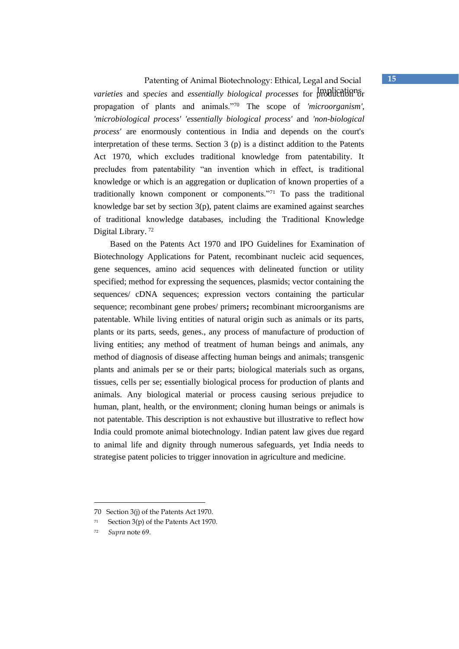## Patenting of Animal Biotechnology: Ethical, Legal and Social **15**

Implications *varieties* and *species* and *essentially biological processes* for production or propagation of plants and animals."<sup>70</sup> The scope of *'microorganism', 'microbiological process' 'essentially biological process'* and *'non-biological process'* are enormously contentious in India and depends on the court's interpretation of these terms. Section 3 (p) is a distinct addition to the Patents Act 1970, which excludes traditional knowledge from patentability. It precludes from patentability "an invention which in effect, is traditional knowledge or which is an aggregation or duplication of known properties of a traditionally known component or components."<sup>71</sup> To pass the traditional knowledge bar set by section 3(p), patent claims are examined against searches of traditional knowledge databases, including the Traditional Knowledge Digital Library. <sup>72</sup>

Based on the Patents Act 1970 and IPO Guidelines for Examination of Biotechnology Applications for Patent, recombinant nucleic acid sequences, gene sequences, amino acid sequences with delineated function or utility specified; method for expressing the sequences, plasmids; vector containing the sequences/ cDNA sequences; expression vectors containing the particular sequence; recombinant gene probes/ primers**;** recombinant microorganisms are patentable. While living entities of natural origin such as animals or its parts, plants or its parts, seeds, genes., any process of manufacture of production of living entities; any method of treatment of human beings and animals, any method of diagnosis of disease affecting human beings and animals; transgenic plants and animals per se or their parts; biological materials such as organs, tissues, cells per se; essentially biological process for production of plants and animals. Any biological material or process causing serious prejudice to human, plant, health, or the environment; cloning human beings or animals is not patentable. This description is not exhaustive but illustrative to reflect how India could promote animal biotechnology. Indian patent law gives due regard to animal life and dignity through numerous safeguards, yet India needs to strategise patent policies to trigger innovation in agriculture and medicine.

<sup>70</sup> Section 3(j) of the Patents Act 1970.

<sup>71</sup> Section 3(p) of the Patents Act 1970.

<sup>72</sup> *Supra* note 69.